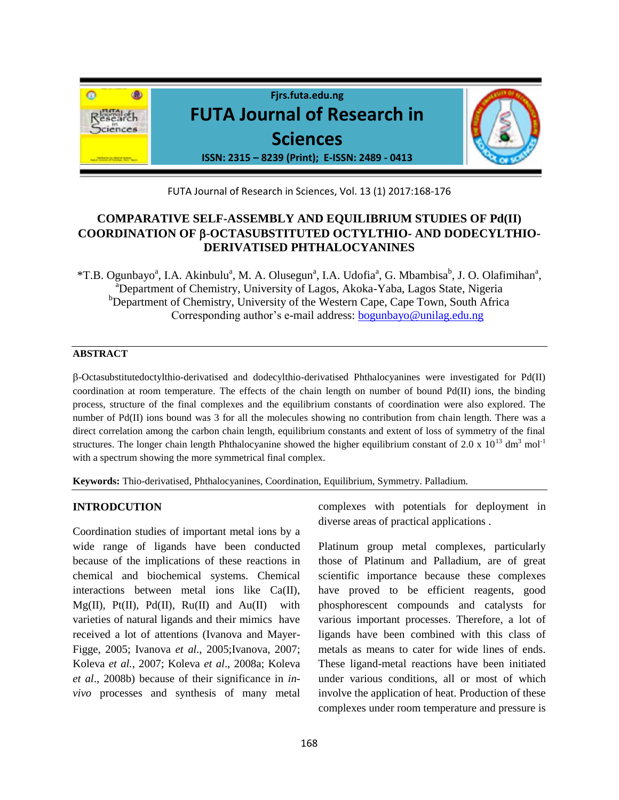

FUTA Journal of Research in Sciences, Vol. 13 (1) 2017:168-176

# **COMPARATIVE SELF-ASSEMBLY AND EQUILIBRIUM STUDIES OF Pd(II) COORDINATION OF** -**OCTASUBSTITUTED OCTYLTHIO- AND DODECYLTHIO-DERIVATISED PHTHALOCYANINES**

\*T.B. Ogunbayo<sup>a</sup>, I.A. Akinbulu<sup>a</sup>, M. A. Olusegun<sup>a</sup>, I.A. Udofia<sup>a</sup>, G. Mbambisa<sup>b</sup>, J. O. Olafimihan<sup>a</sup>, <sup>a</sup>Department of Chemistry, University of Lagos, Akoka-Yaba, Lagos State, Nigeria <sup>b</sup>Department of Chemistry, University of the Western Cape, Cape Town, South Africa Corresponding author's e-mail address: **bogunbayo@unilag.edu.ng** 

#### **ABSTRACT**

-Octasubstitutedoctylthio-derivatised and dodecylthio-derivatised Phthalocyanines were investigated for Pd(II) coordination at room temperature. The effects of the chain length on number of bound Pd(II) ions, the binding process, structure of the final complexes and the equilibrium constants of coordination were also explored. The number of Pd(II) ions bound was 3 for all the molecules showing no contribution from chain length. There was a direct correlation among the carbon chain length, equilibrium constants and extent of loss of symmetry of the final structures. The longer chain length Phthalocyanine showed the higher equilibrium constant of 2.0 x  $10^{13}$  dm<sup>3</sup> mol<sup>-1</sup> with a spectrum showing the more symmetrical final complex.

**Keywords:** Thio-derivatised, Phthalocyanines, Coordination, Equilibrium, Symmetry. Palladium.

### **INTRODCUTION**

Coordination studies of important metal ions by a wide range of ligands have been conducted because of the implications of these reactions in chemical and biochemical systems. Chemical interactions between metal ions like Ca(II),  $Mg(II)$ , Pt $(II)$ , Pd $(II)$ , Ru $(II)$  and Au $(II)$  with varieties of natural ligands and their mimics have received a lot of attentions (Ivanova and Mayer-Figge, 2005; Ivanova *et al*., 2005;Ivanova, 2007; Koleva *et al.*, 2007; Koleva *et al*., 2008a; Koleva *et al*., 2008b) because of their significance in *invivo* processes and synthesis of many metal complexes with potentials for deployment in diverse areas of practical applications .

Platinum group metal complexes, particularly those of Platinum and Palladium, are of great scientific importance because these complexes have proved to be efficient reagents, good phosphorescent compounds and catalysts for various important processes. Therefore, a lot of ligands have been combined with this class of metals as means to cater for wide lines of ends. These ligand-metal reactions have been initiated under various conditions, all or most of which involve the application of heat. Production of these complexes under room temperature and pressure is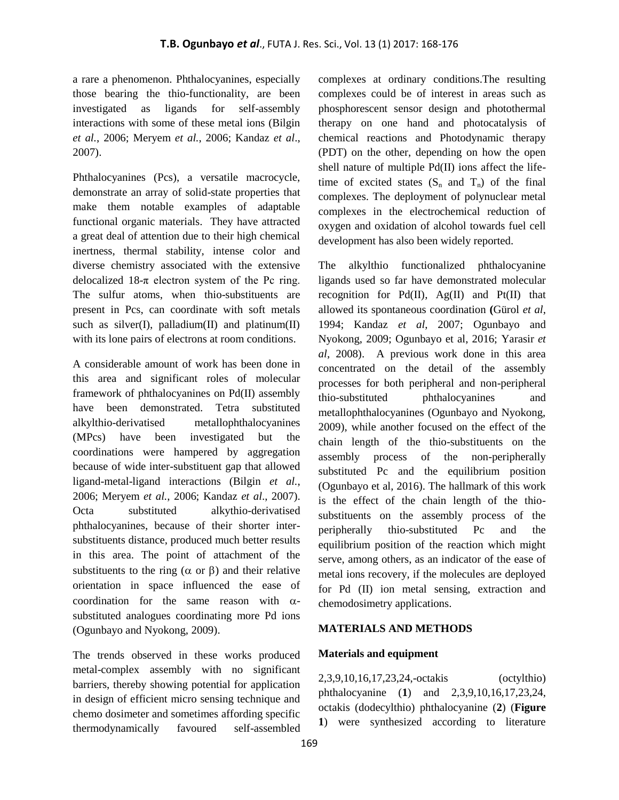a rare a phenomenon. Phthalocyanines, especially those bearing the thio-functionality, are been investigated as ligands for self-assembly interactions with some of these metal ions (Bilgin *et al.*, 2006; Meryem *et al.*, 2006; Kandaz *et al*., 2007).

Phthalocyanines (Pcs), a versatile macrocycle, demonstrate an array of solid-state properties that make them notable examples of adaptable functional organic materials. They have attracted a great deal of attention due to their high chemical inertness, thermal stability, intense color and diverse chemistry associated with the extensive delocalized  $18-\pi$  electron system of the Pc ring. The sulfur atoms, when thio-substituents are present in Pcs, can coordinate with soft metals such as silver(I), palladium(II) and platinum(II) with its lone pairs of electrons at room conditions.

A considerable amount of work has been done in this area and significant roles of molecular framework of phthalocyanines on Pd(II) assembly have been demonstrated. Tetra substituted alkylthio-derivatised metallophthalocyanines (MPcs) have been investigated but the coordinations were hampered by aggregation because of wide inter-substituent gap that allowed ligand-metal-ligand interactions (Bilgin *et al.*, 2006; Meryem *et al.*, 2006; Kandaz *et al*., 2007). Octa substituted alkythio-derivatised phthalocyanines, because of their shorter intersubstituents distance, produced much better results in this area. The point of attachment of the substituents to the ring ( $\alpha$  or  $\beta$ ) and their relative orientation in space influenced the ease of coordination for the same reason with  $\alpha$ substituted analogues coordinating more Pd ions (Ogunbayo and Nyokong, 2009).

The trends observed in these works produced metal-complex assembly with no significant barriers, thereby showing potential for application in design of efficient micro sensing technique and chemo dosimeter and sometimes affording specific thermodynamically favoured self-assembled

complexes at ordinary conditions.The resulting complexes could be of interest in areas such as phosphorescent sensor design and photothermal therapy on one hand and photocatalysis of chemical reactions and Photodynamic therapy (PDT) on the other, depending on how the open shell nature of multiple Pd(II) ions affect the lifetime of excited states  $(S_n \text{ and } T_n)$  of the final complexes. The deployment of polynuclear metal complexes in the electrochemical reduction of oxygen and oxidation of alcohol towards fuel cell development has also been widely reported.

The alkylthio functionalized phthalocyanine ligands used so far have demonstrated molecular recognition for  $Pd(II)$ ,  $Ag(II)$  and  $Pt(II)$  that allowed its spontaneous coordination **(**Gürol *et al*, 1994; Kandaz *et al*, 2007; Ogunbayo and Nyokong, 2009; Ogunbayo et al, 2016; Yarasir *et al*, 2008). A previous work done in this area concentrated on the detail of the assembly processes for both peripheral and non-peripheral thio-substituted phthalocyanines and metallophthalocyanines (Ogunbayo and Nyokong, 2009), while another focused on the effect of the chain length of the thio-substituents on the assembly process of the non-peripherally substituted Pc and the equilibrium position (Ogunbayo et al, 2016). The hallmark of this work is the effect of the chain length of the thiosubstituents on the assembly process of the peripherally thio-substituted Pc and the equilibrium position of the reaction which might serve, among others, as an indicator of the ease of metal ions recovery, if the molecules are deployed for Pd (II) ion metal sensing, extraction and chemodosimetry applications.

## **MATERIALS AND METHODS**

## **Materials and equipment**

2,3,9,10,16,17,23,24,-octakis (octylthio) phthalocyanine (**1**) and 2,3,9,10,16,17,23,24, octakis (dodecylthio) phthalocyanine (**2**) (**Figure 1**) were synthesized according to literature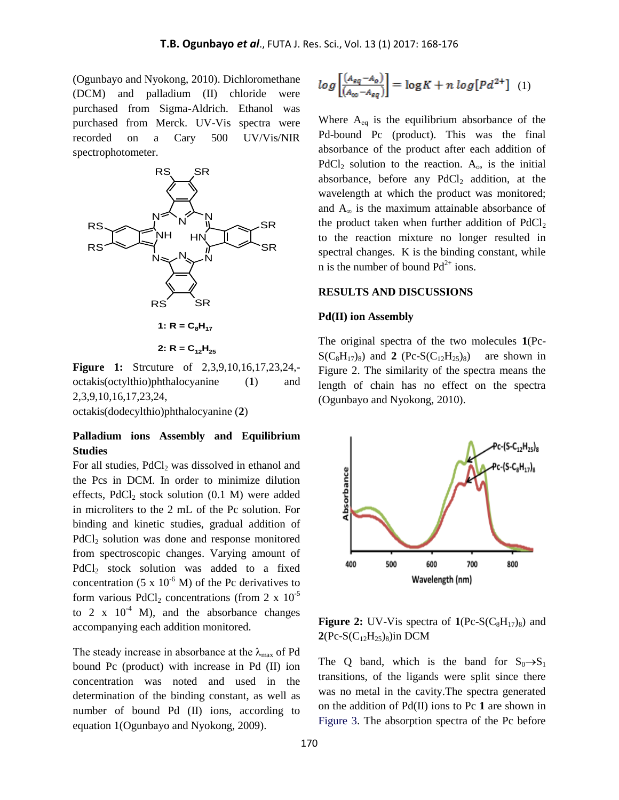(Ogunbayo and Nyokong, 2010). Dichloromethane (DCM) and palladium (II) chloride were purchased from Sigma-Aldrich. Ethanol was purchased from Merck. UV-Vis spectra were recorded on a Cary 500 UV/Vis/NIR spectrophotometer.



2:  $R = C_{12}H_{25}$ 

**Figure 1:** Strcuture of 2,3,9,10,16,17,23,24, octakis(octylthio)phthalocyanine (**1**) and 2,3,9,10,16,17,23,24,

octakis(dodecylthio)phthalocyanine (**2**)

### **Palladium ions Assembly and Equilibrium Studies**

For all studies,  $PdCl<sub>2</sub>$  was dissolved in ethanol and the Pcs in DCM. In order to minimize dilution effects,  $PdCl<sub>2</sub> stock solution (0.1 M) were added$ in microliters to the 2 mL of the Pc solution. For binding and kinetic studies, gradual addition of PdCl<sub>2</sub> solution was done and response monitored from spectroscopic changes. Varying amount of PdCl<sub>2</sub> stock solution was added to a fixed concentration (5 x  $10^{-6}$  M) of the Pc derivatives to form various PdCl<sub>2</sub> concentrations (from 2 x  $10^{-5}$ ) to 2 x  $10^{-4}$  M), and the absorbance changes accompanying each addition monitored.

The steady increase in absorbance at the  $\lambda_{\text{max}}$  of Pd bound Pc (product) with increase in Pd (II) ion concentration was noted and used in the determination of the binding constant, as well as number of bound Pd (II) ions, according to equation 1(Ogunbayo and Nyokong, 2009).

$$
log\left[\frac{(A_{eq}-A_o)}{(A_{\infty}-A_{eq})}\right] = log K + n log[Pd^{2+}] \quad (1)
$$

Where  $A_{eq}$  is the equilibrium absorbance of the Pd-bound Pc (product). This was the final absorbance of the product after each addition of  $PdCl<sub>2</sub>$  solution to the reaction.  $A<sub>o</sub>$ , is the initial absorbance, before any  $PdCl<sub>2</sub>$  addition, at the wavelength at which the product was monitored; and  $A_{\infty}$  is the maximum attainable absorbance of the product taken when further addition of  $PdCl<sub>2</sub>$ to the reaction mixture no longer resulted in spectral changes. K is the binding constant, while n is the number of bound  $Pd^{2+}$  ions.

#### **RESULTS AND DISCUSSIONS**

#### **Pd(II) ion Assembly**

The original spectra of the two molecules **1**(Pc- $S(C_8H_{17})_8$  and **2** (Pc-S(C<sub>12</sub>H<sub>25</sub>)<sub>8</sub>) are shown in Figure 2. The similarity of the spectra means the length of chain has no effect on the spectra (Ogunbayo and Nyokong, 2010).



**Figure 2:** UV-Vis spectra of  $1(Pe-S(C_8H_{17})_8)$  and **2**(Pc-S( $C_{12}H_{25}$ )<sub>8</sub>)in DCM

The Q band, which is the band for  $S_0 \rightarrow S_1$ transitions, of the ligands were split since there was no metal in the cavity.The spectra generated on the addition of Pd(II) ions to Pc **1** are shown in Figure 3. The absorption spectra of the Pc before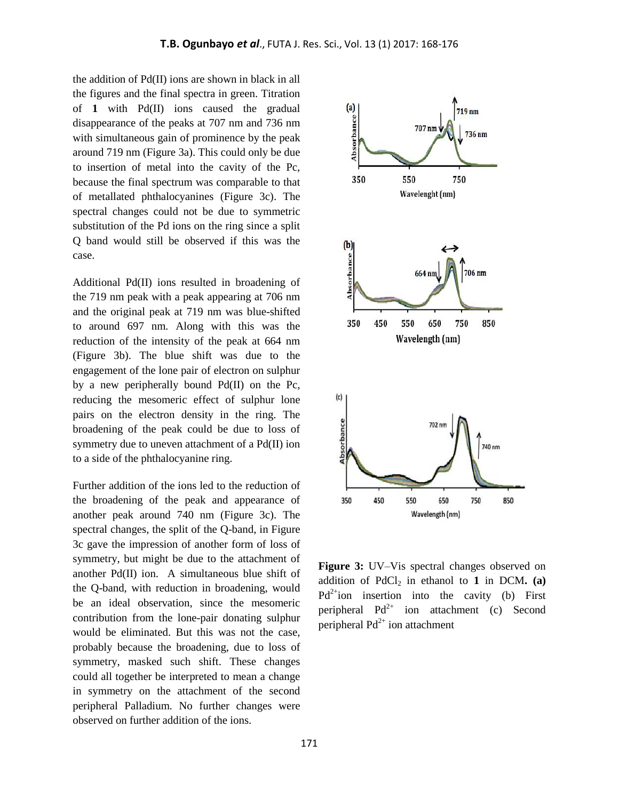the addition of Pd(II) ions are shown in black in all the figures and the final spectra in green. Titration of **1** with Pd(II) ions caused the gradual disappearance of the peaks at 707 nm and 736 nm with simultaneous gain of prominence by the peak around 719 nm (Figure 3a). This could only be due to insertion of metal into the cavity of the Pc, because the final spectrum was comparable to that of metallated phthalocyanines (Figure 3c). The spectral changes could not be due to symmetric substitution of the Pd ions on the ring since a split Q band would still be observed if this was the case.

Additional Pd(II) ions resulted in broadening of the 719 nm peak with a peak appearing at 706 nm and the original peak at 719 nm was blue-shifted to around 697 nm. Along with this was the reduction of the intensity of the peak at 664 nm (Figure 3b). The blue shift was due to the engagement of the lone pair of electron on sulphur by a new peripherally bound Pd(II) on the Pc, reducing the mesomeric effect of sulphur lone pairs on the electron density in the ring. The broadening of the peak could be due to loss of symmetry due to uneven attachment of a Pd(II) ion to a side of the phthalocyanine ring.

Further addition of the ions led to the reduction of the broadening of the peak and appearance of another peak around 740 nm (Figure 3c). The spectral changes, the split of the Q-band, in Figure 3c gave the impression of another form of loss of symmetry, but might be due to the attachment of another Pd(II) ion. A simultaneous blue shift of the Q-band, with reduction in broadening, would be an ideal observation, since the mesomeric contribution from the lone-pair donating sulphur would be eliminated. But this was not the case, probably because the broadening, due to loss of symmetry, masked such shift. These changes could all together be interpreted to mean a change in symmetry on the attachment of the second peripheral Palladium. No further changes were observed on further addition of the ions.



**Figure 3:** UV–Vis spectral changes observed on addition of PdCl<sub>2</sub> in ethanol to **1** in DCM**.** (a)  $Pd^{2+}$ ion insertion into the cavity (b) First peripheral  $Pd^{2+}$  ion attachment (c) Second peripheral  $Pd^{2+}$  ion attachment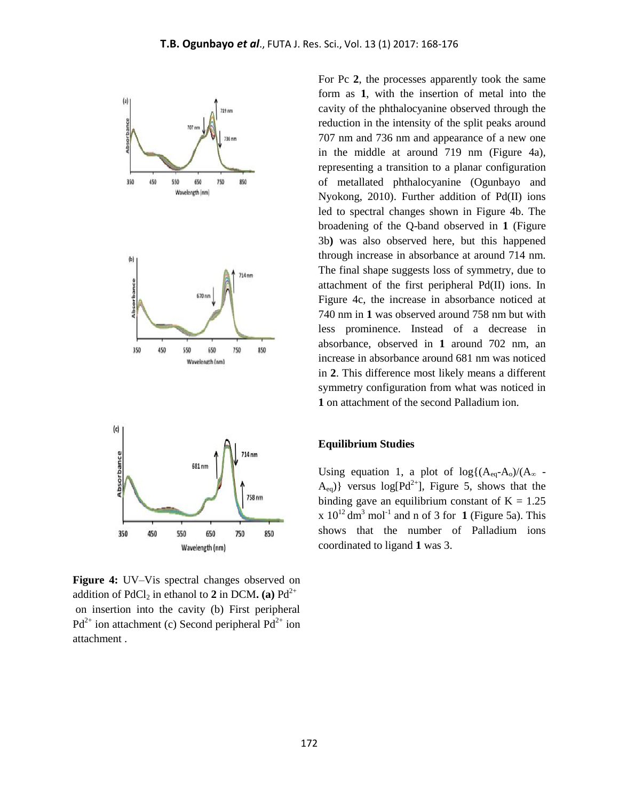

**Figure 4:** UV–Vis spectral changes observed on addition of  $PdCl_2$  in ethanol to 2 in DCM**.** (a)  $Pd^{2+}$ on insertion into the cavity (b) First peripheral  $Pd^{2+}$  ion attachment (c) Second peripheral  $Pd^{2+}$  ion attachment .

For Pc **2**, the processes apparently took the same form as **1**, with the insertion of metal into the cavity of the phthalocyanine observed through the reduction in the intensity of the split peaks around 707 nm and 736 nm and appearance of a new one in the middle at around 719 nm (Figure 4a), representing a transition to a planar configuration of metallated phthalocyanine (Ogunbayo and Nyokong, 2010). Further addition of Pd(II) ions led to spectral changes shown in Figure 4b. The broadening of the Q-band observed in **1** (Figure 3b**)** was also observed here, but this happened through increase in absorbance at around 714 nm. The final shape suggests loss of symmetry, due to attachment of the first peripheral Pd(II) ions. In Figure 4c, the increase in absorbance noticed at 740 nm in **1** was observed around 758 nm but with less prominence. Instead of a decrease in absorbance, observed in **1** around 702 nm, an increase in absorbance around 681 nm was noticed in **2**. This difference most likely means a different symmetry configuration from what was noticed in **1** on attachment of the second Palladium ion.

### **Equilibrium Studies**

Using equation 1, a plot of  $log{(A_{eq}-A_o)/(A_{\infty} - \frac{1}{2}A_o)}$  $A_{eq}$ } versus log[Pd<sup>2+</sup>], Figure 5, shows that the binding gave an equilibrium constant of  $K = 1.25$  $x 10^{12}$  dm<sup>3</sup> mol<sup>-1</sup> and n of 3 for **1** (Figure 5a). This shows that the number of Palladium ions coordinated to ligand **1** was 3.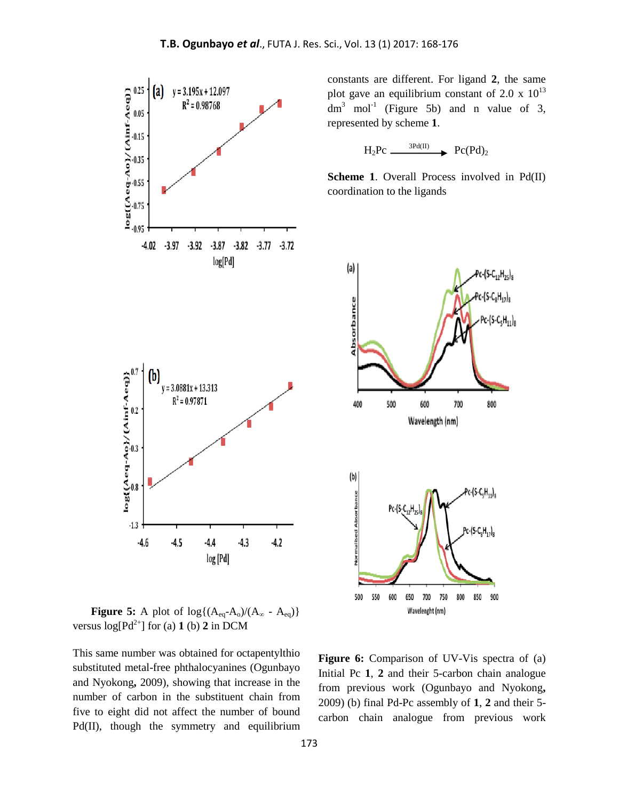

constants are different. For ligand **2**, the same plot gave an equilibrium constant of 2.0 x  $10^{13}$  $dm<sup>3</sup>$  mol<sup>-1</sup> (Figure 5b) and n value of 3, represented by scheme **1**.

 $H_2Pc \xrightarrow{\text{3Pd(II)}} PC(Pd)_2$ 

**Scheme 1**. Overall Process involved in Pd(II) coordination to the ligands



**Figure 5:** A plot of  $log{(A_{eq}-A_0)/(A_{\infty} - A_{eq})}$ versus  $log[**Pd**<sup>2+</sup>]$  for (a) **1** (b) **2** in DCM

This same number was obtained for octapentylthio substituted metal-free phthalocyanines (Ogunbayo and Nyokong**,** 2009), showing that increase in the number of carbon in the substituent chain from five to eight did not affect the number of bound Pd(II), though the symmetry and equilibrium

**Figure 6:** Comparison of UV-Vis spectra of (a) Initial Pc **1**, **2** and their 5-carbon chain analogue from previous work (Ogunbayo and Nyokong**,**  2009) (b) final Pd-Pc assembly of **1**, **2** and their 5 carbon chain analogue from previous work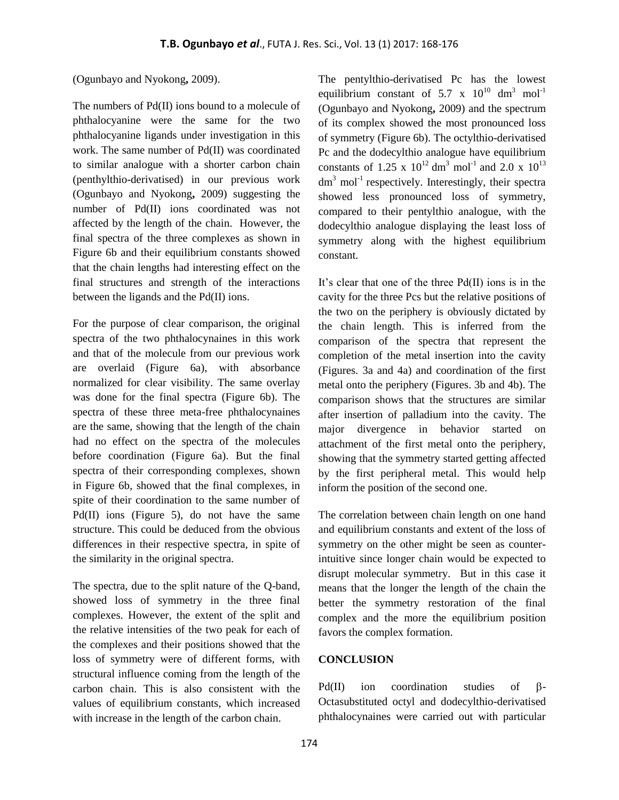### (Ogunbayo and Nyokong**,** 2009).

The numbers of Pd(II) ions bound to a molecule of phthalocyanine were the same for the two phthalocyanine ligands under investigation in this work. The same number of Pd(II) was coordinated to similar analogue with a shorter carbon chain (penthylthio-derivatised) in our previous work (Ogunbayo and Nyokong**,** 2009) suggesting the number of Pd(II) ions coordinated was not affected by the length of the chain. However, the final spectra of the three complexes as shown in Figure 6b and their equilibrium constants showed that the chain lengths had interesting effect on the final structures and strength of the interactions between the ligands and the Pd(II) ions.

For the purpose of clear comparison, the original spectra of the two phthalocynaines in this work and that of the molecule from our previous work are overlaid (Figure 6a), with absorbance normalized for clear visibility. The same overlay was done for the final spectra (Figure 6b). The spectra of these three meta-free phthalocynaines are the same, showing that the length of the chain had no effect on the spectra of the molecules before coordination (Figure 6a). But the final spectra of their corresponding complexes, shown in Figure 6b, showed that the final complexes, in spite of their coordination to the same number of Pd(II) ions (Figure 5), do not have the same structure. This could be deduced from the obvious differences in their respective spectra, in spite of the similarity in the original spectra.

The spectra, due to the split nature of the Q-band, showed loss of symmetry in the three final complexes. However, the extent of the split and the relative intensities of the two peak for each of the complexes and their positions showed that the loss of symmetry were of different forms, with structural influence coming from the length of the carbon chain. This is also consistent with the values of equilibrium constants, which increased with increase in the length of the carbon chain.

The pentylthio-derivatised Pc has the lowest equilibrium constant of 5.7 x  $10^{10}$  dm<sup>3</sup> mol<sup>-1</sup> (Ogunbayo and Nyokong**,** 2009) and the spectrum of its complex showed the most pronounced loss of symmetry (Figure 6b). The octylthio-derivatised Pc and the dodecylthio analogue have equilibrium constants of 1.25 x  $10^{12}$  dm<sup>3</sup> mol<sup>-1</sup> and 2.0 x  $10^{13}$  $dm<sup>3</sup>$  mol<sup>-1</sup> respectively. Interestingly, their spectra showed less pronounced loss of symmetry, compared to their pentylthio analogue, with the dodecylthio analogue displaying the least loss of symmetry along with the highest equilibrium constant.

It's clear that one of the three Pd(II) ions is in the cavity for the three Pcs but the relative positions of the two on the periphery is obviously dictated by the chain length. This is inferred from the comparison of the spectra that represent the completion of the metal insertion into the cavity (Figures. 3a and 4a) and coordination of the first metal onto the periphery (Figures. 3b and 4b). The comparison shows that the structures are similar after insertion of palladium into the cavity. The major divergence in behavior started on attachment of the first metal onto the periphery, showing that the symmetry started getting affected by the first peripheral metal. This would help inform the position of the second one.

The correlation between chain length on one hand and equilibrium constants and extent of the loss of symmetry on the other might be seen as counterintuitive since longer chain would be expected to disrupt molecular symmetry. But in this case it means that the longer the length of the chain the better the symmetry restoration of the final complex and the more the equilibrium position favors the complex formation.

#### **CONCLUSION**

Pd(II) ion coordination studies of  $\beta$ -Octasubstituted octyl and dodecylthio-derivatised phthalocynaines were carried out with particular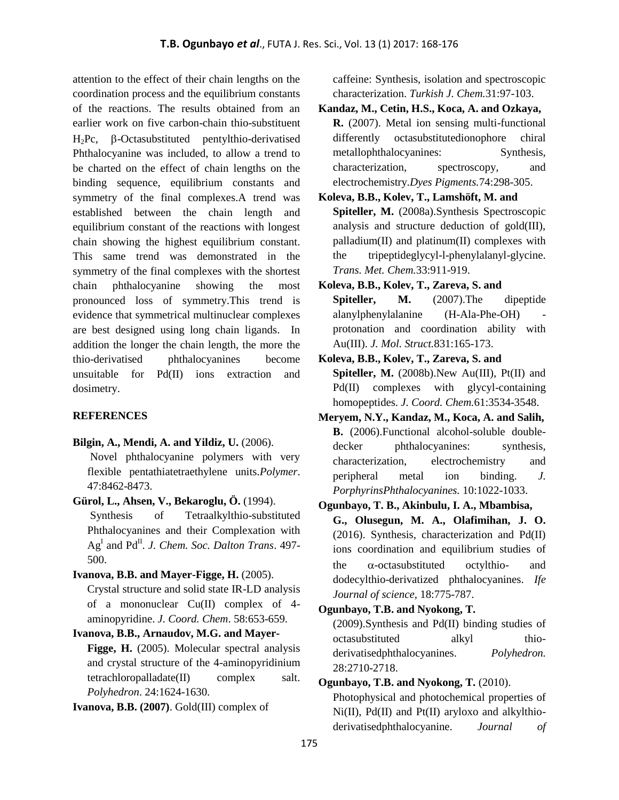attention to the effect of their chain lengths on the coordination process and the equilibrium constants of the reactions. The results obtained from an earlier work on five carbon-chain thio-substituent  $H_2$ Pc,  $\beta$ -Octasubstituted pentylthio-derivatised Phthalocyanine was included, to allow a trend to be charted on the effect of chain lengths on the binding sequence, equilibrium constants and symmetry of the final complexes.A trend was established between the chain length and equilibrium constant of the reactions with longest chain showing the highest equilibrium constant. This same trend was demonstrated in the symmetry of the final complexes with the shortest chain phthalocyanine showing the most pronounced loss of symmetry.This trend is evidence that symmetrical multinuclear complexes are best designed using long chain ligands. In addition the longer the chain length, the more the thio-derivatised phthalocyanines become unsuitable for Pd(II) ions extraction and dosimetry.

## **REFERENCES**

**Bilgin, A., Mendi, A. and Yildiz, U.** (2006).

Novel phthalocyanine polymers with very flexible pentathiatetraethylene units.*Polymer*. 47:8462-8473.

**Gürol, L., Ahsen, V., Bekaroglu, Ö.** (1994).

Synthesis of Tetraalkylthio-substituted Phthalocyanines and their Complexation with  $Ag<sup>I</sup>$  and Pd<sup>II</sup>. *J. Chem. Soc. Dalton Trans.* 497-500.

**Ivanova, B.B. and Mayer-Figge, H.** (2005).

Crystal structure and solid state IR-LD analysis of a mononuclear Cu(II) complex of 4 aminopyridine. *J. Coord. Chem*. 58:653-659.

### **Ivanova, B.B., Arnaudov, M.G. and Mayer-**

**Figge, H.** (2005). Molecular spectral analysis and crystal structure of the 4-aminopyridinium tetrachloropalladate(II) complex salt. *Polyhedron*. 24:1624-1630.

**Ivanova, B.B. (2007)**. Gold(III) complex of

caffeine: Synthesis, isolation and spectroscopic characterization. *Turkish J. Chem.*31:97-103.

**Kandaz, M., Cetin, H.S., Koca, A. and Ozkaya, R.** (2007). Metal ion sensing multi-functional differently octasubstitutedionophore chiral metallophthalocyanines: Synthesis, characterization, spectroscopy, and electrochemistry.*Dyes Pigments.*74:298-305.

**Koleva, B.B., Kolev, T., Lamshöft, M. and Spiteller, M.** (2008a).Synthesis Spectroscopic analysis and structure deduction of gold(III), palladium(II) and platinum(II) complexes with the tripeptideglycyl-l-phenylalanyl-glycine. *Trans. Met. Chem.*33:911-919.

**Koleva, B.B., Kolev, T., Zareva, S. and Spiteller, M.** (2007).The dipeptide alanylphenylalanine (H-Ala-Phe-OH) protonation and coordination ability with Au(III). *J. Mol. Struct.*831:165-173.

- **Koleva, B.B., Kolev, T., Zareva, S. and Spiteller, M.** (2008b).New Au(III), Pt(II) and Pd(II) complexes with glycyl-containing homopeptides. *J. Coord. Chem.*61:3534-3548.
- **Meryem, N.Y., Kandaz, M., Koca, A. and Salih, B.** (2006).Functional alcohol-soluble doubledecker phthalocyanines: synthesis, characterization, electrochemistry and peripheral metal ion binding. *J. PorphyrinsPhthalocyanines.* 10:1022-1033.
- **Ogunbayo, T. B., Akinbulu, I. A., Mbambisa, G., Olusegun, M. A., Olafimihan, J. O.** (2016). Synthesis, characterization and Pd(II) ions coordination and equilibrium studies of the  $\alpha$ -octasubstituted octylthio- and dodecylthio-derivatized phthalocyanines. *Ife Journal of science*, 18:775-787.

## **Ogunbayo, T.B. and Nyokong, T.**

(2009).Synthesis and Pd(II) binding studies of octasubstituted alkyl thioderivatisedphthalocyanines. *Polyhedron.*  28:2710-2718.

### **Ogunbayo, T.B. and Nyokong, T.** (2010).

Photophysical and photochemical properties of Ni(II), Pd(II) and Pt(II) aryloxo and alkylthioderivatisedphthalocyanine. *Journal of*